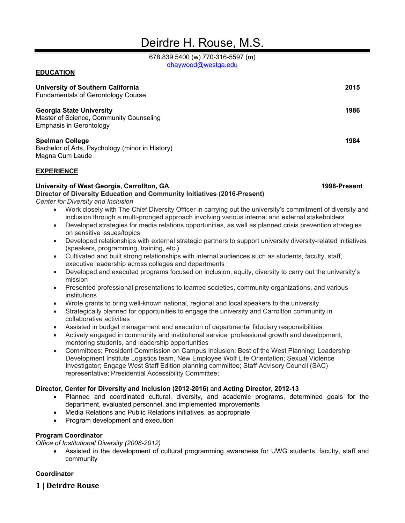# Deirdre H. Rouse, M.S.

678.839.5400 (w) 770-316-5597 (m) [dhaywood@westga.edu](mailto:dhaywood@westga.edu)

# **EDUCATION**

| <b>University of Southern California</b>                                                              | 2015 |
|-------------------------------------------------------------------------------------------------------|------|
| <b>Fundamentals of Gerontology Course</b>                                                             |      |
| <b>Georgia State University</b><br>Master of Science, Community Counseling<br>Emphasis in Gerontology | 1986 |
| <b>Spelman College</b><br>Bachelor of Arts, Psychology (minor in History)<br>Magna Cum Laude          | 1984 |

#### **EXPERIENCE**

#### **University of West Georgia, Carrollton, GA 1998-Present**

**Director of Diversity Education and Community Initiatives (2016-Present)** *Center for Diversity and Inclusion*

- Work closely with The Chief Diversity Officer in carrying out the university's commitment of diversity and inclusion through a multi-pronged approach involving various internal and external stakeholders
- Developed strategies for media relations opportunities, as well as planned crisis prevention strategies on sensitive issues/topics
- Developed relationships with external strategic partners to support university diversity-related initiatives (speakers, programming, training, etc.)
- Cultivated and built strong relationships with internal audiences such as students, faculty, staff, executive leadership across colleges and departments
- Developed and executed programs focused on inclusion, equity, diversity to carry out the university's mission
- Presented professional presentations to learned societies, community organizations, and various institutions
- Wrote grants to bring well-known national, regional and local speakers to the university
- Strategically planned for opportunities to engage the university and Carrollton community in collaborative activities
- Assisted in budget management and execution of departmental fiduciary responsibilities
- Actively engaged in community and institutional service, professional growth and development, mentoring students, and leadership opportunities
- Committees: President Commission on Campus Inclusion; Best of the West Planning: Leadership Development Institute Logistics team, New Employee Wolf Life Orientation; Sexual Violence Investigator; Engage West Staff Edition planning committee; Staff Advisory Council (SAC) representative; Presidential Accessibility Committee;

# **Director, Center for Diversity and Inclusion (2012-2016)** and **Acting Director, 2012-13**

- Planned and coordinated cultural, diversity, and academic programs, determined goals for the department, evaluated personnel, and implemented improvements
- Media Relations and Public Relations initiatives, as appropriate
- Program development and execution

# **Program Coordinator**

*Office of Institutional Diversity (2008-2012)*

• Assisted in the development of cultural programming awareness for UWG students, faculty, staff and community

#### **Coordinator**

**1 | Deirdre Rouse**